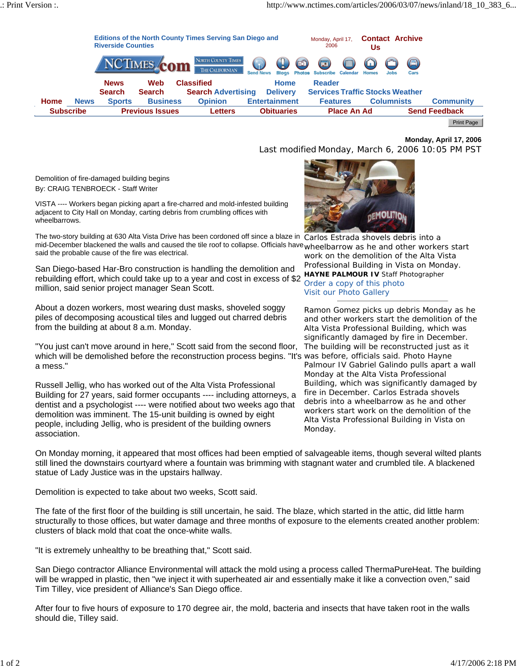

**Monday, April 17, 2006**

Last modified Monday, March 6, 2006 10:05 PM PST

Demolition of fire-damaged building begins By: CRAIG TENBROECK - Staff Writer

VISTA ---- Workers began picking apart a fire-charred and mold-infested building adjacent to City Hall on Monday, carting debris from crumbling offices with wheelbarrows.

*Carlos Estrada shovels debris into a*  The two-story building at 630 Alta Vista Drive has been cordoned off since a blaze in mid-December blackened the walls and caused the tile roof to collapse. Officials have *wheelbarrow as he and other workers start* said the probable cause of the fire was electrical.

*HAYNE PALMOUR IV Staff Photographer* rebuilding effort, which could take up to a year and cost in excess of \$2 San Diego-based Har-Bro construction is handling the demolition and million, said senior project manager Sean Scott.

About a dozen workers, most wearing dust masks, shoveled soggy piles of decomposing acoustical tiles and lugged out charred debris from the building at about 8 a.m. Monday.

which will be demolished before the reconstruction process begins. "It's was before, officials said. Photo Hayne "You just can't move around in here," Scott said from the second floor, a mess."

Russell Jellig, who has worked out of the Alta Vista Professional Building for 27 years, said former occupants ---- including attorneys, a dentist and a psychologist ---- were notified about two weeks ago that demolition was imminent. The 15-unit building is owned by eight people, including Jellig, who is president of the building owners association.



*work on the demolition of the Alta Vista Professional Building in Vista on Monday. Order a copy of this photo Visit our Photo Gallery*

*Ramon Gomez picks up debris Monday as he and other workers start the demolition of the Alta Vista Professional Building, which was significantly damaged by fire in December. The building will be reconstructed just as it Palmour IV Gabriel Galindo pulls apart a wall Monday at the Alta Vista Professional Building, which was significantly damaged by fire in December. Carlos Estrada shovels debris into a wheelbarrow as he and other workers start work on the demolition of the Alta Vista Professional Building in Vista on Monday.*

On Monday morning, it appeared that most offices had been emptied of salvageable items, though several wilted plants still lined the downstairs courtyard where a fountain was brimming with stagnant water and crumbled tile. A blackened statue of Lady Justice was in the upstairs hallway.

Demolition is expected to take about two weeks, Scott said.

The fate of the first floor of the building is still uncertain, he said. The blaze, which started in the attic, did little harm structurally to those offices, but water damage and three months of exposure to the elements created another problem: clusters of black mold that coat the once-white walls.

"It is extremely unhealthy to be breathing that," Scott said.

San Diego contractor Alliance Environmental will attack the mold using a process called ThermaPureHeat. The building will be wrapped in plastic, then "we inject it with superheated air and essentially make it like a convection oven," said Tim Tilley, vice president of Alliance's San Diego office.

After four to five hours of exposure to 170 degree air, the mold, bacteria and insects that have taken root in the walls should die, Tilley said.